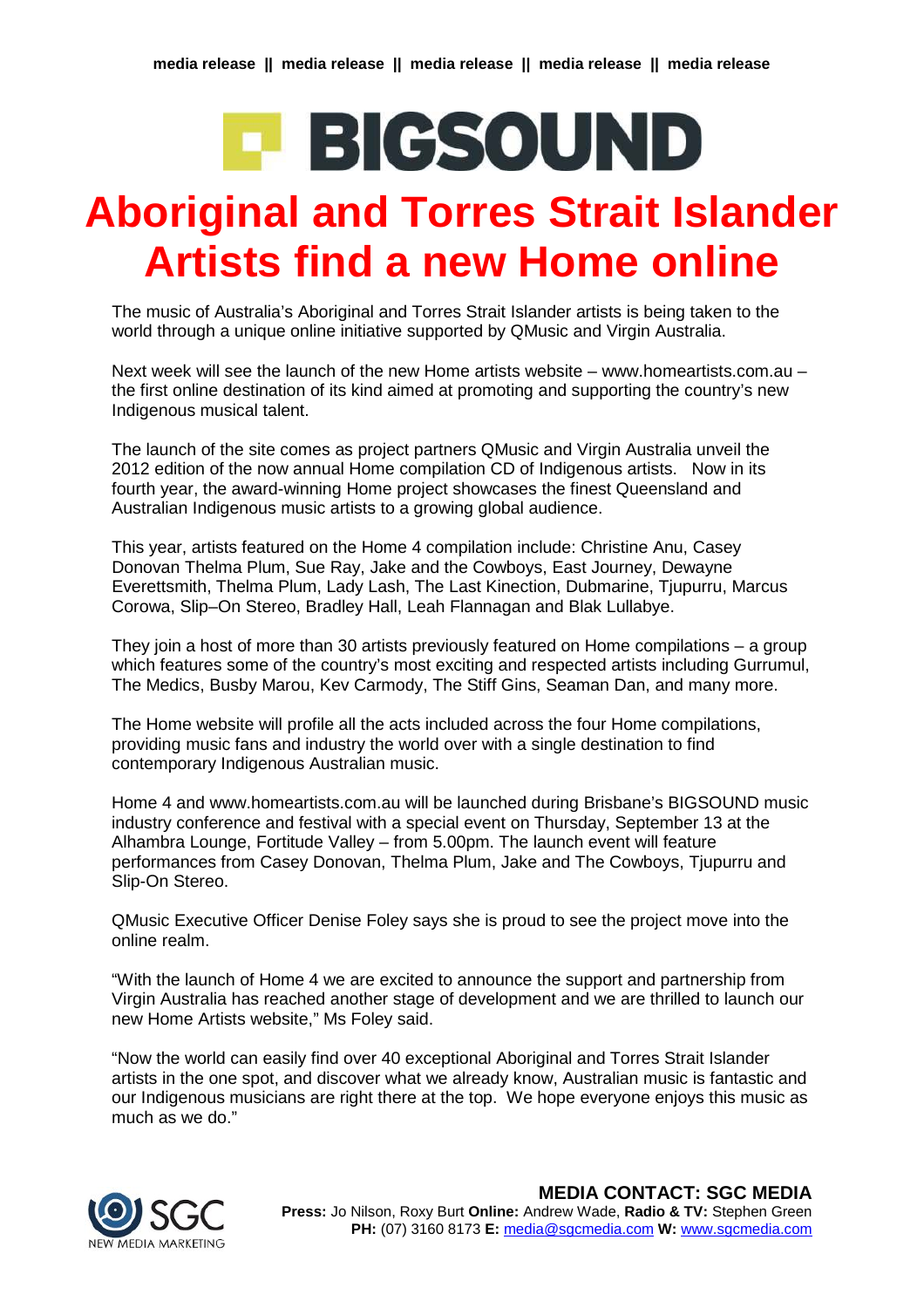## **E BIGSOUND**

## **Aboriginal and Torres Strait Islander Artists find a new Home online**

The music of Australia's Aboriginal and Torres Strait Islander artists is being taken to the world through a unique online initiative supported by QMusic and Virgin Australia.

Next week will see the launch of the new Home artists website – www.homeartists.com.au – the first online destination of its kind aimed at promoting and supporting the country's new Indigenous musical talent.

The launch of the site comes as project partners QMusic and Virgin Australia unveil the 2012 edition of the now annual Home compilation CD of Indigenous artists. Now in its fourth year, the award-winning Home project showcases the finest Queensland and Australian Indigenous music artists to a growing global audience.

This year, artists featured on the Home 4 compilation include: Christine Anu, Casey Donovan Thelma Plum, Sue Ray, Jake and the Cowboys, East Journey, Dewayne Everettsmith, Thelma Plum, Lady Lash, The Last Kinection, Dubmarine, Tjupurru, Marcus Corowa, Slip–On Stereo, Bradley Hall, Leah Flannagan and Blak Lullabye.

They join a host of more than 30 artists previously featured on Home compilations – a group which features some of the country's most exciting and respected artists including Gurrumul, The Medics, Busby Marou, Kev Carmody, The Stiff Gins, Seaman Dan, and many more.

The Home website will profile all the acts included across the four Home compilations, providing music fans and industry the world over with a single destination to find contemporary Indigenous Australian music.

Home 4 and www.homeartists.com.au will be launched during Brisbane's BIGSOUND music industry conference and festival with a special event on Thursday, September 13 at the Alhambra Lounge, Fortitude Valley – from 5.00pm. The launch event will feature performances from Casey Donovan, Thelma Plum, Jake and The Cowboys, Tjupurru and Slip-On Stereo.

QMusic Executive Officer Denise Foley says she is proud to see the project move into the online realm.

"With the launch of Home 4 we are excited to announce the support and partnership from Virgin Australia has reached another stage of development and we are thrilled to launch our new Home Artists website," Ms Foley said.

"Now the world can easily find over 40 exceptional Aboriginal and Torres Strait Islander artists in the one spot, and discover what we already know, Australian music is fantastic and our Indigenous musicians are right there at the top. We hope everyone enjoys this music as much as we do."



**MEDIA CONTACT: SGC MEDIA Press:** Jo Nilson, Roxy Burt **Online:** Andrew Wade, **Radio & TV:** Stephen Green **PH:** (07) 3160 8173 **E:** [media@sgcmedia.com](mailto:media@sgcmedia.com) **W:** [www.sgcmedia.com](http://www.sgcmedia.com/)